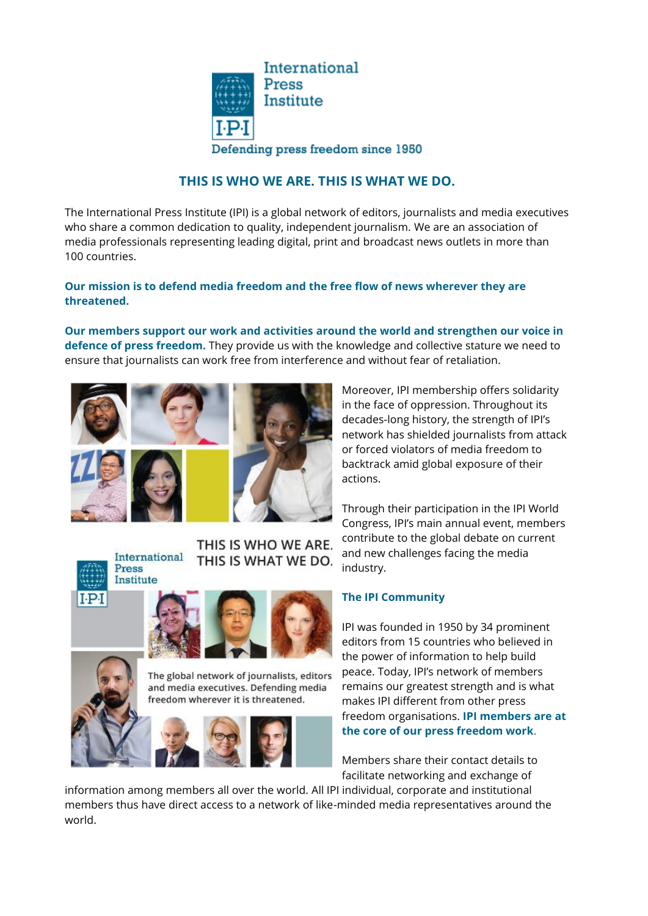

# **THIS IS WHO WE ARE. THIS IS WHAT WE DO.**

The International Press Institute (IPI) is a global network of editors, journalists and media executives who share a common dedication to quality, independent journalism. We are an association of media professionals representing leading digital, print and broadcast news outlets in more than 100 countries.

### **Our mission is to defend media freedom and the free flow of news wherever they are threatened.**

**Our members support our work and activities around the world and strengthen our voice in defence of press freedom.** They provide us with the knowledge and collective stature we need to ensure that journalists can work free from interference and without fear of retaliation.



THIS IS WHO WE ARE. International THIS IS WHAT WE DO.



Press





The global network of journalists, editors and media executives. Defending media freedom wherever it is threatened.



Moreover, IPI membership offers solidarity in the face of oppression. Throughout its decades-long history, the strength of IPI's network has shielded journalists from attack or forced violators of media freedom to backtrack amid global exposure of their actions.

Through their participation in the IPI World Congress, IPI's main annual event, members contribute to the global debate on current and new challenges facing the media industry.

### **The IPI Community**

IPI was founded in 1950 by 34 prominent editors from 15 countries who believed in the power of information to help build peace. Today, IPI's network of members remains our greatest strength and is what makes IPI different from other press freedom organisations. **IPI members are at the core of our press freedom work**.

Members share their contact details to facilitate networking and exchange of

information among members all over the world. All IPI individual, corporate and institutional members thus have direct access to a network of like-minded media representatives around the world.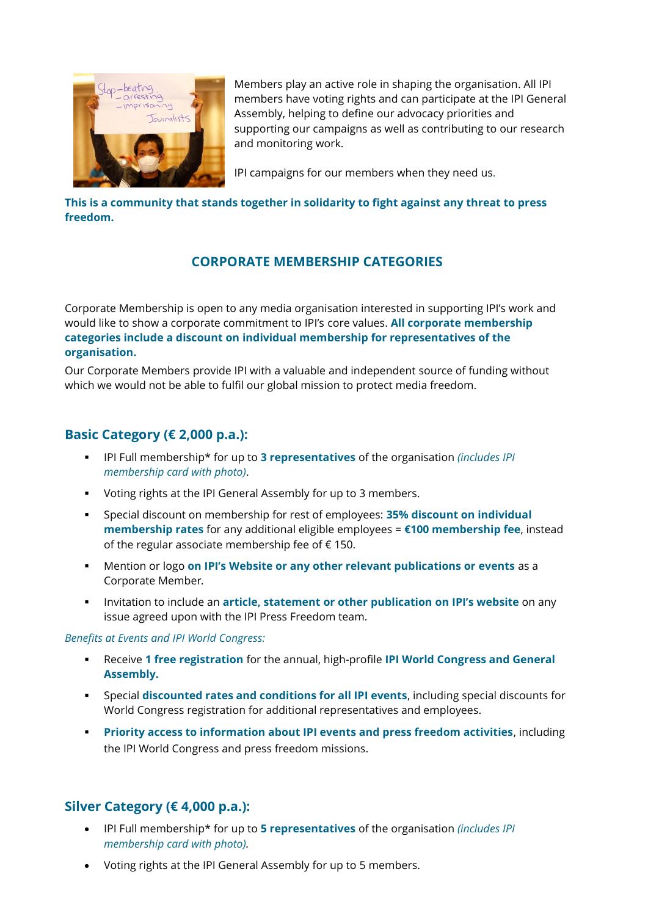

Members play an active role in shaping the organisation. All IPI members have voting rights and can participate at the IPI General Assembly, helping to define our advocacy priorities and supporting our campaigns as well as contributing to our research and monitoring work.

IPI campaigns for our members when they need us.

### **This is a community that stands together in solidarity to fight against any threat to press freedom.**

# **CORPORATE MEMBERSHIP CATEGORIES**

Corporate Membership is open to any media organisation interested in supporting IPI's work and would like to show a corporate commitment to IPI's core values. **All corporate membership categories include a discount on individual membership for representatives of the organisation.** 

Our Corporate Members provide IPI with a valuable and independent source of funding without which we would not be able to fulfil our global mission to protect media freedom.

# **Basic Category (€ 2,000 p.a.):**

- IPI Full membership\* for up to **3 representatives** of the organisation *(includes IPI membership card with photo)*.
- Voting rights at the IPI General Assembly for up to 3 members.
- Special discount on membership for rest of employees: **35% discount on individual membership rates** for any additional eligible employees = **€100 membership fee**, instead of the regular associate membership fee of € 150.
- Mention or logo **on IPI's Website or any other relevant publications or events** as a Corporate Member*.*
- Invitation to include an **article, statement or other publication on IPI's website** on any issue agreed upon with the IPI Press Freedom team.

### *Benefits at Events and IPI World Congress:*

- Receive **1 free registration** for the annual, high-profile **IPI World Congress and General Assembly.**
- Special **discounted rates and conditions for all IPI events**, including special discounts for World Congress registration for additional representatives and employees.
- **Priority access to information about IPI events and press freedom activities**, including the IPI World Congress and press freedom missions.

# **Silver Category (€ 4,000 p.a.):**

- IPI Full membership\* for up to **5 representatives** of the organisation *(includes IPI membership card with photo).*
- Voting rights at the IPI General Assembly for up to 5 members.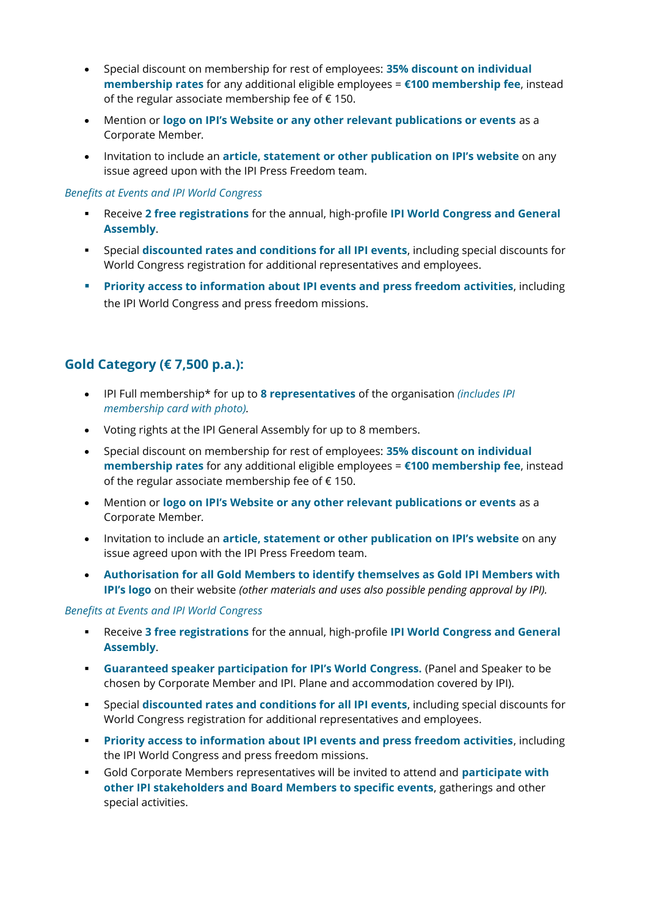- Special discount on membership for rest of employees: **35% discount on individual membership rates** for any additional eligible employees = **€100 membership fee**, instead of the regular associate membership fee of  $\epsilon$  150.
- Mention or **logo on IPI's Website or any other relevant publications or events** as a Corporate Member*.*
- Invitation to include an **article, statement or other publication on IPI's website** on any issue agreed upon with the IPI Press Freedom team.

#### *Benefits at Events and IPI World Congress*

- Receive **2 free registrations** for the annual, high-profile **IPI World Congress and General Assembly**.
- Special **discounted rates and conditions for all IPI events**, including special discounts for World Congress registration for additional representatives and employees.
- **Priority access to information about IPI events and press freedom activities**, including the IPI World Congress and press freedom missions.

### **Gold Category (€ 7,500 p.a.):**

- IPI Full membership\* for up to **8 representatives** of the organisation *(includes IPI membership card with photo).*
- Voting rights at the IPI General Assembly for up to 8 members.
- Special discount on membership for rest of employees: **35% discount on individual membership rates** for any additional eligible employees = **€100 membership fee**, instead of the regular associate membership fee of  $\epsilon$  150.
- Mention or **logo on IPI's Website or any other relevant publications or events** as a Corporate Member*.*
- Invitation to include an **article, statement or other publication on IPI's website** on any issue agreed upon with the IPI Press Freedom team.
- **Authorisation for all Gold Members to identify themselves as Gold IPI Members with IPI's logo** on their website *(other materials and uses also possible pending approval by IPI).*

#### *Benefits at Events and IPI World Congress*

- Receive **3 free registrations** for the annual, high-profile **IPI World Congress and General Assembly**.
- **Guaranteed speaker participation for IPI's World Congress.** (Panel and Speaker to be chosen by Corporate Member and IPI. Plane and accommodation covered by IPI).
- Special **discounted rates and conditions for all IPI events**, including special discounts for World Congress registration for additional representatives and employees.
- **Priority access to information about IPI events and press freedom activities**, including the IPI World Congress and press freedom missions.
- Gold Corporate Members representatives will be invited to attend and **participate with other IPI stakeholders and Board Members to specific events**, gatherings and other special activities.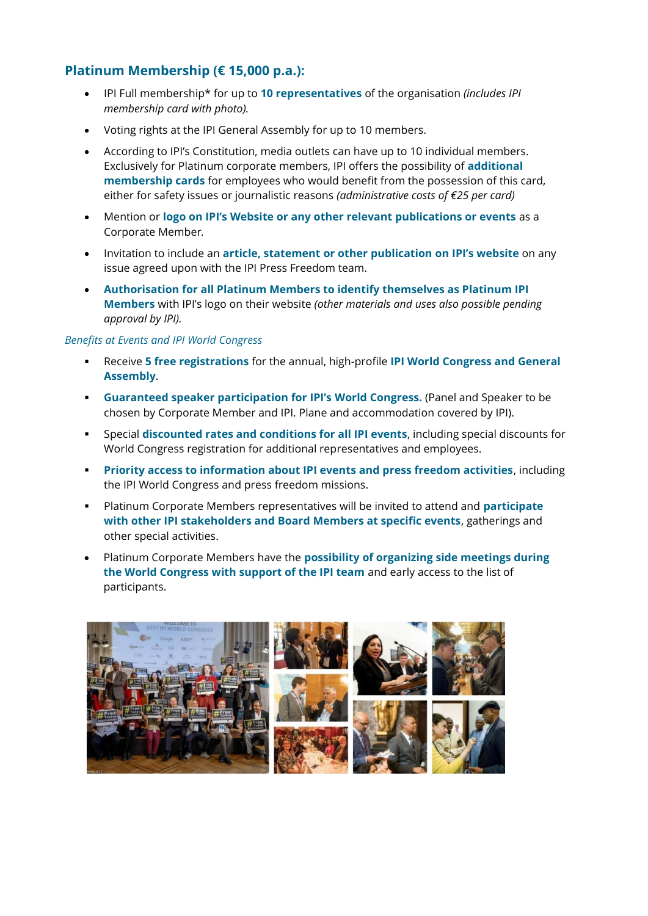# **Platinum Membership (€ 15,000 p.a.):**

- IPI Full membership\* for up to **10 representatives** of the organisation *(includes IPI membership card with photo).*
- Voting rights at the IPI General Assembly for up to 10 members.
- According to IPI's Constitution, media outlets can have up to 10 individual members. Exclusively for Platinum corporate members, IPI offers the possibility of **additional membership cards** for employees who would benefit from the possession of this card, either for safety issues or journalistic reasons *(administrative costs of €25 per card)*
- Mention or **logo on IPI's Website or any other relevant publications or events** as a Corporate Member*.*
- Invitation to include an **article, statement or other publication on IPI's website** on any issue agreed upon with the IPI Press Freedom team.
- **Authorisation for all Platinum Members to identify themselves as Platinum IPI Members** with IPI's logo on their website *(other materials and uses also possible pending approval by IPI).*

#### *Benefits at Events and IPI World Congress*

- Receive **5 free registrations** for the annual, high-profile **IPI World Congress and General Assembly**.
- **Guaranteed speaker participation for IPI's World Congress.** (Panel and Speaker to be chosen by Corporate Member and IPI. Plane and accommodation covered by IPI).
- Special **discounted rates and conditions for all IPI events**, including special discounts for World Congress registration for additional representatives and employees.
- **Priority access to information about IPI events and press freedom activities**, including the IPI World Congress and press freedom missions.
- Platinum Corporate Members representatives will be invited to attend and **participate with other IPI stakeholders and Board Members at specific events**, gatherings and other special activities.
- Platinum Corporate Members have the **possibility of organizing side meetings during the World Congress with support of the IPI team** and early access to the list of participants.